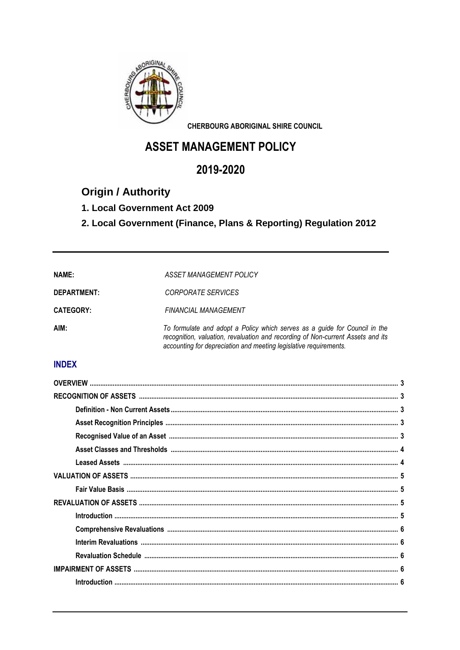

**CHERBOURG ABORIGINAL SHIRE COUNCIL** 

# **ASSET MANAGEMENT POLICY**

# 2019-2020

# **Origin / Authority**

### 1. Local Government Act 2009

## 2. Local Government (Finance, Plans & Reporting) Regulation 2012

| <b>NAME:</b>       | <b>ASSET MANAGEMENT POLICY</b>                                                                                                                                                                                                     |
|--------------------|------------------------------------------------------------------------------------------------------------------------------------------------------------------------------------------------------------------------------------|
| <b>DEPARTMENT:</b> | CORPORATE SERVICES                                                                                                                                                                                                                 |
| <b>CATEGORY:</b>   | <b>FINANCIAL MANAGEMENT</b>                                                                                                                                                                                                        |
| AIM:               | To formulate and adopt a Policy which serves as a guide for Council in the<br>recognition, valuation, revaluation and recording of Non-current Assets and its<br>accounting for depreciation and meeting legislative requirements. |

### **INDEX**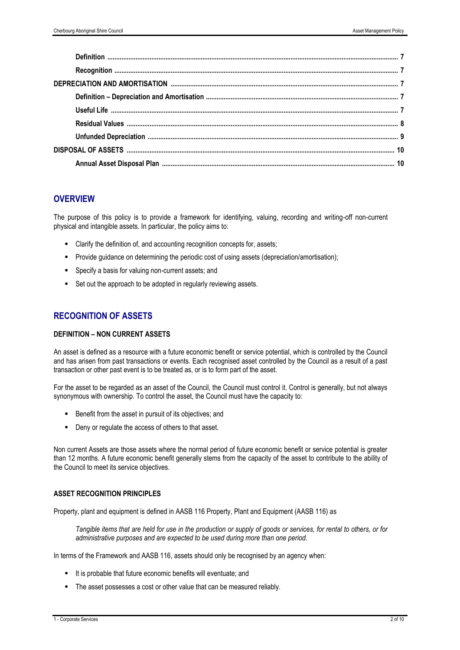### **OVERVIEW**

The purpose of this policy is to provide a framework for identifying, valuing, recording and writing-off non-current physical and intangible assets. In particular, the policy aims to:

- Clarify the definition of, and accounting recognition concepts for, assets;
- Provide guidance on determining the periodic cost of using assets (depreciation/amortisation);
- Specify a basis for valuing non-current assets; and
- Set out the approach to be adopted in regularly reviewing assets.

### **RECOGNITION OF ASSETS**

#### **DEFINITION – NON CURRENT ASSETS**

An asset is defined as a resource with a future economic benefit or service potential, which is controlled by the Council and has arisen from past transactions or events. Each recognised asset controlled by the Council as a result of a past transaction or other past event is to be treated as, or is to form part of the asset.

For the asset to be regarded as an asset of the Council, the Council must control it. Control is generally, but not always synonymous with ownership. To control the asset, the Council must have the capacity to:

- Benefit from the asset in pursuit of its objectives; and
- Deny or regulate the access of others to that asset.

Non current Assets are those assets where the normal period of future economic benefit or service potential is greater than 12 months. A future economic benefit generally stems from the capacity of the asset to contribute to the ability of the Council to meet its service objectives.

#### **ASSET RECOGNITION PRINCIPLES**

Property, plant and equipment is defined in AASB 116 Property, Plant and Equipment (AASB 116) as

*Tangible items that are held for use in the production or supply of goods or services, for rental to others, or for administrative purposes and are expected to be used during more than one period.*

In terms of the Framework and AASB 116, assets should only be recognised by an agency when:

- It is probable that future economic benefits will eventuate; and
- The asset possesses a cost or other value that can be measured reliably.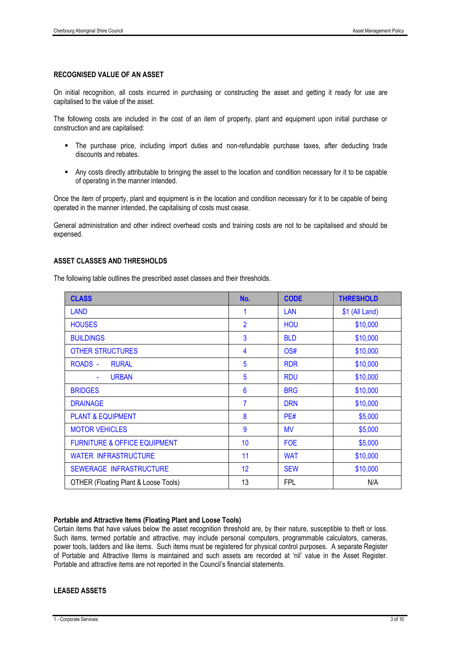#### **RECOGNISED VALUE OF AN ASSET**

On initial recognition, all costs incurred in purchasing or constructing the asset and getting it ready for use are capitalised to the value of the asset.

The following costs are included in the cost of an item of property, plant and equipment upon initial purchase or construction and are capitalised:

- The purchase price, including import duties and non-refundable purchase taxes, after deducting trade discounts and rebates.
- Any costs directly attributable to bringing the asset to the location and condition necessary for it to be capable of operating in the manner intended.

Once the item of property, plant and equipment is in the location and condition necessary for it to be capable of being operated in the manner intended, the capitalising of costs must cease.

General administration and other indirect overhead costs and training costs are not to be capitalised and should be expensed.

#### **ASSET CLASSES AND THRESHOLDS**

The following table outlines the prescribed asset classes and their thresholds.

| <b>CLASS</b>                            | No.             | <b>CODE</b> | <b>THRESHOLD</b> |
|-----------------------------------------|-----------------|-------------|------------------|
| <b>LAND</b>                             | 1               | <b>LAN</b>  | \$1 (All Land)   |
| <b>HOUSES</b>                           | $\overline{2}$  | <b>HOU</b>  | \$10,000         |
| <b>BUILDINGS</b>                        | 3               | <b>BLD</b>  | \$10,000         |
| <b>OTHER STRUCTURES</b>                 | 4               | OS#         | \$10,000         |
| <b>ROADS -</b><br><b>RURAL</b>          | 5               | <b>RDR</b>  | \$10,000         |
| <b>URBAN</b><br>$\blacksquare$          | 5               | <b>RDU</b>  | \$10,000         |
| <b>BRIDGES</b>                          | $6\phantom{1}6$ | <b>BRG</b>  | \$10,000         |
| <b>DRAINAGE</b>                         | $\overline{7}$  | <b>DRN</b>  | \$10,000         |
| <b>PLANT &amp; EQUIPMENT</b>            | 8               | PE#         | \$5,000          |
| <b>MOTOR VEHICLES</b>                   | 9               | <b>MV</b>   | \$5,000          |
| <b>FURNITURE &amp; OFFICE EQUIPMENT</b> | 10              | <b>FOE</b>  | \$5,000          |
| <b>WATER INFRASTRUCTURE</b>             | 11              | <b>WAT</b>  | \$10,000         |
| SEWERAGE INFRASTRUCTURE                 | 12              | <b>SEW</b>  | \$10,000         |
| OTHER (Floating Plant & Loose Tools)    | 13              | <b>FPL</b>  | N/A              |

#### **Portable and Attractive Items (Floating Plant and Loose Tools)**

Certain items that have values below the asset recognition threshold are, by their nature, susceptible to theft or loss. Such items, termed portable and attractive, may include personal computers, programmable calculators, cameras, power tools, ladders and like items. Such items must be registered for physical control purposes. A separate Register of Portable and Attractive Items is maintained and such assets are recorded at 'nil' value in the Asset Register. Portable and attractive items are not reported in the Council's financial statements.

#### **LEASED ASSETS**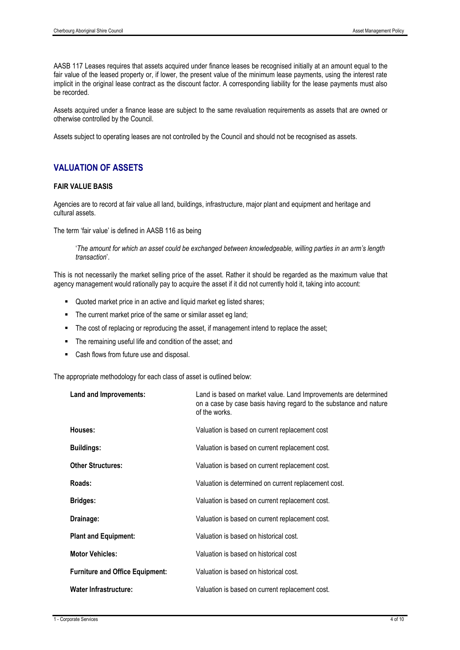AASB 117 Leases requires that assets acquired under finance leases be recognised initially at an amount equal to the fair value of the leased property or, if lower, the present value of the minimum lease payments, using the interest rate implicit in the original lease contract as the discount factor. A corresponding liability for the lease payments must also be recorded.

Assets acquired under a finance lease are subject to the same revaluation requirements as assets that are owned or otherwise controlled by the Council.

Assets subject to operating leases are not controlled by the Council and should not be recognised as assets.

### **VALUATION OF ASSETS**

#### **FAIR VALUE BASIS**

Agencies are to record at fair value all land, buildings, infrastructure, major plant and equipment and heritage and cultural assets.

The term 'fair value' is defined in AASB 116 as being

'*The amount for which an asset could be exchanged between knowledgeable, willing parties in an arm's length transaction*'.

This is not necessarily the market selling price of the asset. Rather it should be regarded as the maximum value that agency management would rationally pay to acquire the asset if it did not currently hold it, taking into account:

- Quoted market price in an active and liquid market eg listed shares;
- The current market price of the same or similar asset eg land;
- The cost of replacing or reproducing the asset, if management intend to replace the asset;
- The remaining useful life and condition of the asset; and
- Cash flows from future use and disposal.

The appropriate methodology for each class of asset is outlined below:

| Land and Improvements:                 | Land is based on market value. Land Improvements are determined<br>on a case by case basis having regard to the substance and nature<br>of the works. |
|----------------------------------------|-------------------------------------------------------------------------------------------------------------------------------------------------------|
| Houses:                                | Valuation is based on current replacement cost                                                                                                        |
| <b>Buildings:</b>                      | Valuation is based on current replacement cost.                                                                                                       |
| <b>Other Structures:</b>               | Valuation is based on current replacement cost.                                                                                                       |
| Roads:                                 | Valuation is determined on current replacement cost.                                                                                                  |
| <b>Bridges:</b>                        | Valuation is based on current replacement cost.                                                                                                       |
| Drainage:                              | Valuation is based on current replacement cost.                                                                                                       |
| <b>Plant and Equipment:</b>            | Valuation is based on historical cost.                                                                                                                |
| <b>Motor Vehicles:</b>                 | Valuation is based on historical cost                                                                                                                 |
| <b>Furniture and Office Equipment:</b> | Valuation is based on historical cost.                                                                                                                |
| <b>Water Infrastructure:</b>           | Valuation is based on current replacement cost.                                                                                                       |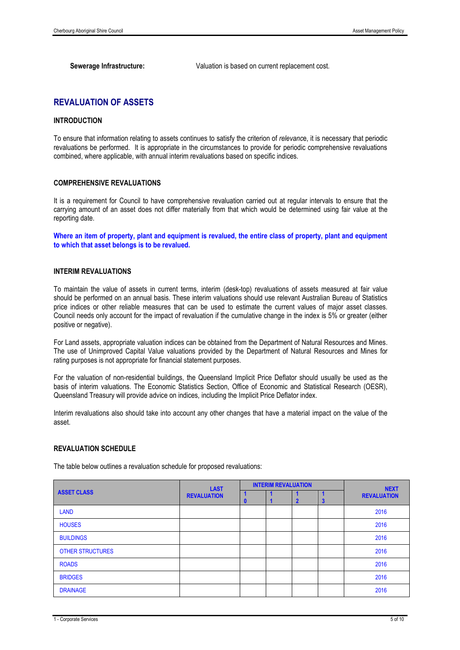**Sewerage Infrastructure:** Valuation is based on current replacement cost.

### **REVALUATION OF ASSETS**

#### **INTRODUCTION**

To ensure that information relating to assets continues to satisfy the criterion of *relevanc*e, it is necessary that periodic revaluations be performed. It is appropriate in the circumstances to provide for periodic comprehensive revaluations combined, where applicable, with annual interim revaluations based on specific indices.

#### **COMPREHENSIVE REVALUATIONS**

It is a requirement for Council to have comprehensive revaluation carried out at regular intervals to ensure that the carrying amount of an asset does not differ materially from that which would be determined using fair value at the reporting date.

**Where an item of property, plant and equipment is revalued, the entire class of property, plant and equipment to which that asset belongs is to be revalued.**

#### **INTERIM REVALUATIONS**

To maintain the value of assets in current terms, interim (desk-top) revaluations of assets measured at fair value should be performed on an annual basis. These interim valuations should use relevant Australian Bureau of Statistics price indices or other reliable measures that can be used to estimate the current values of major asset classes. Council needs only account for the impact of revaluation if the cumulative change in the index is 5% or greater (either positive or negative).

For Land assets, appropriate valuation indices can be obtained from the Department of Natural Resources and Mines. The use of Unimproved Capital Value valuations provided by the Department of Natural Resources and Mines for rating purposes is not appropriate for financial statement purposes.

For the valuation of non-residential buildings, the Queensland Implicit Price Deflator should usually be used as the basis of interim valuations. The Economic Statistics Section, Office of Economic and Statistical Research (OESR), Queensland Treasury will provide advice on indices, including the Implicit Price Deflator index.

Interim revaluations also should take into account any other changes that have a material impact on the value of the asset.

#### **REVALUATION SCHEDULE**

The table below outlines a revaluation schedule for proposed revaluations:

|                         | <b>LAST</b><br><b>REVALUATION</b> | <b>INTERIM REVALUATION</b> |  |  |   | <b>NEXT</b>        |
|-------------------------|-----------------------------------|----------------------------|--|--|---|--------------------|
| <b>ASSET CLASS</b>      |                                   |                            |  |  | 3 | <b>REVALUATION</b> |
| <b>LAND</b>             |                                   |                            |  |  |   | 2016               |
| <b>HOUSES</b>           |                                   |                            |  |  |   | 2016               |
| <b>BUILDINGS</b>        |                                   |                            |  |  |   | 2016               |
| <b>OTHER STRUCTURES</b> |                                   |                            |  |  |   | 2016               |
| <b>ROADS</b>            |                                   |                            |  |  |   | 2016               |
| <b>BRIDGES</b>          |                                   |                            |  |  |   | 2016               |
| <b>DRAINAGE</b>         |                                   |                            |  |  |   | 2016               |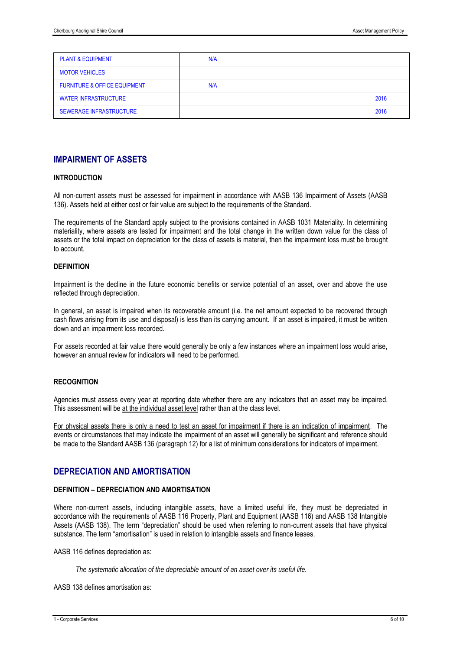| <b>PLANT &amp; EQUIPMENT</b>            | N/A |  |  |      |
|-----------------------------------------|-----|--|--|------|
| <b>MOTOR VEHICLES</b>                   |     |  |  |      |
| <b>FURNITURE &amp; OFFICE EQUIPMENT</b> | N/A |  |  |      |
| <b>WATER INFRASTRUCTURE</b>             |     |  |  | 2016 |
| <b>SEWERAGE INFRASTRUCTURE</b>          |     |  |  | 2016 |

### **IMPAIRMENT OF ASSETS**

#### **INTRODUCTION**

All non-current assets must be assessed for impairment in accordance with AASB 136 Impairment of Assets (AASB 136). Assets held at either cost or fair value are subject to the requirements of the Standard.

The requirements of the Standard apply subject to the provisions contained in AASB 1031 Materiality. In determining materiality, where assets are tested for impairment and the total change in the written down value for the class of assets or the total impact on depreciation for the class of assets is material, then the impairment loss must be brought to account.

#### **DEFINITION**

Impairment is the decline in the future economic benefits or service potential of an asset, over and above the use reflected through depreciation.

In general, an asset is impaired when its recoverable amount (i.e. the net amount expected to be recovered through cash flows arising from its use and disposal) is less than its carrying amount. If an asset is impaired, it must be written down and an impairment loss recorded.

For assets recorded at fair value there would generally be only a few instances where an impairment loss would arise, however an annual review for indicators will need to be performed.

#### **RECOGNITION**

Agencies must assess every year at reporting date whether there are any indicators that an asset may be impaired. This assessment will be at the individual asset level rather than at the class level.

For physical assets there is only a need to test an asset for impairment if there is an indication of impairment. The events or circumstances that may indicate the impairment of an asset will generally be significant and reference should be made to the Standard AASB 136 (paragraph 12) for a list of minimum considerations for indicators of impairment.

### **DEPRECIATION AND AMORTISATION**

#### **DEFINITION – DEPRECIATION AND AMORTISATION**

Where non-current assets, including intangible assets, have a limited useful life, they must be depreciated in accordance with the requirements of AASB 116 Property, Plant and Equipment (AASB 116) and AASB 138 Intangible Assets (AASB 138). The term "depreciation" should be used when referring to non-current assets that have physical substance. The term "amortisation" is used in relation to intangible assets and finance leases.

AASB 116 defines depreciation as:

*The systematic allocation of the depreciable amount of an asset over its useful life.*

AASB 138 defines amortisation as: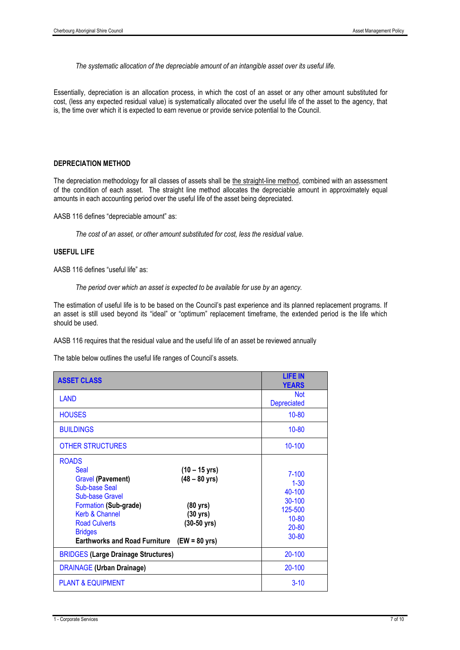*The systematic allocation of the depreciable amount of an intangible asset over its useful life.*

Essentially, depreciation is an allocation process, in which the cost of an asset or any other amount substituted for cost, (less any expected residual value) is systematically allocated over the useful life of the asset to the agency, that is, the time over which it is expected to earn revenue or provide service potential to the Council.

#### **DEPRECIATION METHOD**

The depreciation methodology for all classes of assets shall be the straight-line method, combined with an assessment of the condition of each asset. The straight line method allocates the depreciable amount in approximately equal amounts in each accounting period over the useful life of the asset being depreciated.

AASB 116 defines "depreciable amount" as:

*The cost of an asset, or other amount substituted for cost, less the residual value.*

#### **USEFUL LIFE**

AASB 116 defines "useful life" as:

*The period over which an asset is expected to be available for use by an agency.*

The estimation of useful life is to be based on the Council's past experience and its planned replacement programs. If an asset is still used beyond its "ideal" or "optimum" replacement timeframe, the extended period is the life which should be used.

AASB 116 requires that the residual value and the useful life of an asset be reviewed annually

The table below outlines the useful life ranges of Council's assets.

| <b>ASSET CLASS</b>                                                                                                                                                                                                                                                                                                                                             | <b>LIFE IN</b><br><b>YEARS</b>                                                              |
|----------------------------------------------------------------------------------------------------------------------------------------------------------------------------------------------------------------------------------------------------------------------------------------------------------------------------------------------------------------|---------------------------------------------------------------------------------------------|
| LAND                                                                                                                                                                                                                                                                                                                                                           | <b>Not</b><br><b>Depreciated</b>                                                            |
| <b>HOUSES</b>                                                                                                                                                                                                                                                                                                                                                  | $10 - 80$                                                                                   |
| <b>BUILDINGS</b>                                                                                                                                                                                                                                                                                                                                               | $10 - 80$                                                                                   |
| <b>OTHER STRUCTURES</b>                                                                                                                                                                                                                                                                                                                                        | 10-100                                                                                      |
| <b>ROADS</b><br><b>Seal</b><br>$(10 - 15 \text{ yrs})$<br><b>Gravel (Pavement)</b><br>$(48 - 80 \text{ yrs})$<br><b>Sub-base Seal</b><br><b>Sub-base Gravel</b><br>Formation (Sub-grade)<br>$(80 \text{ yrs})$<br>Kerb & Channel<br>(30 yrs)<br><b>Road Culverts</b><br>$(30-50 \text{ yrs})$<br><b>Bridges</b><br>Earthworks and Road Furniture (EW = 80 yrs) | $7 - 100$<br>$1 - 30$<br>40-100<br>30-100<br>125-500<br>$10 - 80$<br>$20 - 80$<br>$30 - 80$ |
| <b>BRIDGES (Large Drainage Structures)</b>                                                                                                                                                                                                                                                                                                                     | 20-100                                                                                      |
| <b>DRAINAGE (Urban Drainage)</b>                                                                                                                                                                                                                                                                                                                               | 20-100                                                                                      |
| <b>PLANT &amp; EQUIPMENT</b>                                                                                                                                                                                                                                                                                                                                   | $3 - 10$                                                                                    |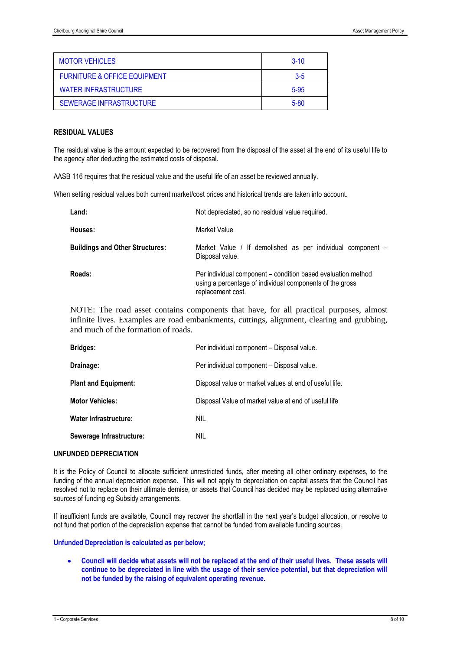| <b>MOTOR VEHICLES</b>                   | $3-10$   |
|-----------------------------------------|----------|
| <b>FURNITURE &amp; OFFICE EQUIPMENT</b> | $3-5$    |
| <b>WATER INFRASTRUCTURE</b>             | $5 - 95$ |
| <b>SEWERAGE INFRASTRUCTURE</b>          | $5 - 80$ |

#### **RESIDUAL VALUES**

The residual value is the amount expected to be recovered from the disposal of the asset at the end of its useful life to the agency after deducting the estimated costs of disposal.

AASB 116 requires that the residual value and the useful life of an asset be reviewed annually.

When setting residual values both current market/cost prices and historical trends are taken into account.

| Land:                                  | Not depreciated, so no residual value required.                                                                                               |
|----------------------------------------|-----------------------------------------------------------------------------------------------------------------------------------------------|
| Houses:                                | Market Value                                                                                                                                  |
| <b>Buildings and Other Structures:</b> | Market Value / If demolished as per individual component -<br>Disposal value.                                                                 |
| Roads:                                 | Per individual component – condition based evaluation method<br>using a percentage of individual components of the gross<br>replacement cost. |

NOTE: The road asset contains components that have, for all practical purposes, almost infinite lives. Examples are road embankments, cuttings, alignment, clearing and grubbing, and much of the formation of roads.

| <b>Bridges:</b>              | Per individual component - Disposal value.             |
|------------------------------|--------------------------------------------------------|
| Drainage:                    | Per individual component - Disposal value.             |
| <b>Plant and Equipment:</b>  | Disposal value or market values at end of useful life. |
| <b>Motor Vehicles:</b>       | Disposal Value of market value at end of useful life   |
| <b>Water Infrastructure:</b> | NIL                                                    |
| Sewerage Infrastructure:     | NIL                                                    |

#### **UNFUNDED DEPRECIATION**

It is the Policy of Council to allocate sufficient unrestricted funds, after meeting all other ordinary expenses, to the funding of the annual depreciation expense. This will not apply to depreciation on capital assets that the Council has resolved not to replace on their ultimate demise, or assets that Council has decided may be replaced using alternative sources of funding eg Subsidy arrangements.

If insufficient funds are available, Council may recover the shortfall in the next year's budget allocation, or resolve to not fund that portion of the depreciation expense that cannot be funded from available funding sources.

#### **Unfunded Depreciation is calculated as per below;**

• **Council will decide what assets will not be replaced at the end of their useful lives. These assets will continue to be depreciated in line with the usage of their service potential, but that depreciation will not be funded by the raising of equivalent operating revenue.**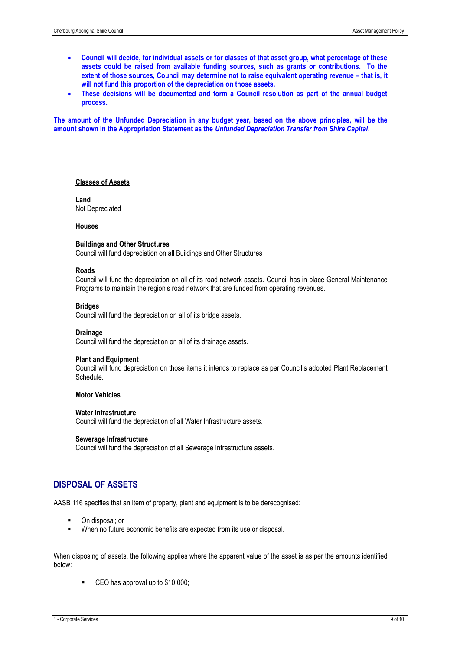- **Council will decide, for individual assets or for classes of that asset group, what percentage of these assets could be raised from available funding sources, such as grants or contributions. To the extent of those sources, Council may determine not to raise equivalent operating revenue – that is, it will not fund this proportion of the depreciation on those assets.**
- **These decisions will be documented and form a Council resolution as part of the annual budget process.**

**The amount of the Unfunded Depreciation in any budget year, based on the above principles, will be the amount shown in the Appropriation Statement as the** *Unfunded Depreciation Transfer from Shire Capital***.** 

#### **Classes of Assets**

**Land**  Not Depreciated

#### **Houses**

#### **Buildings and Other Structures**

Council will fund depreciation on all Buildings and Other Structures

#### **Roads**

Council will fund the depreciation on all of its road network assets. Council has in place General Maintenance Programs to maintain the region's road network that are funded from operating revenues.

#### **Bridges**

Council will fund the depreciation on all of its bridge assets.

#### **Drainage**

Council will fund the depreciation on all of its drainage assets.

#### **Plant and Equipment**

Council will fund depreciation on those items it intends to replace as per Council's adopted Plant Replacement Schedule.

#### **Motor Vehicles**

#### **Water Infrastructure**

Council will fund the depreciation of all Water Infrastructure assets.

#### **Sewerage Infrastructure**

Council will fund the depreciation of all Sewerage Infrastructure assets.

### **DISPOSAL OF ASSETS**

AASB 116 specifies that an item of property, plant and equipment is to be derecognised:

- On disposal: or
- When no future economic benefits are expected from its use or disposal.

When disposing of assets, the following applies where the apparent value of the asset is as per the amounts identified below:

CEO has approval up to \$10,000;